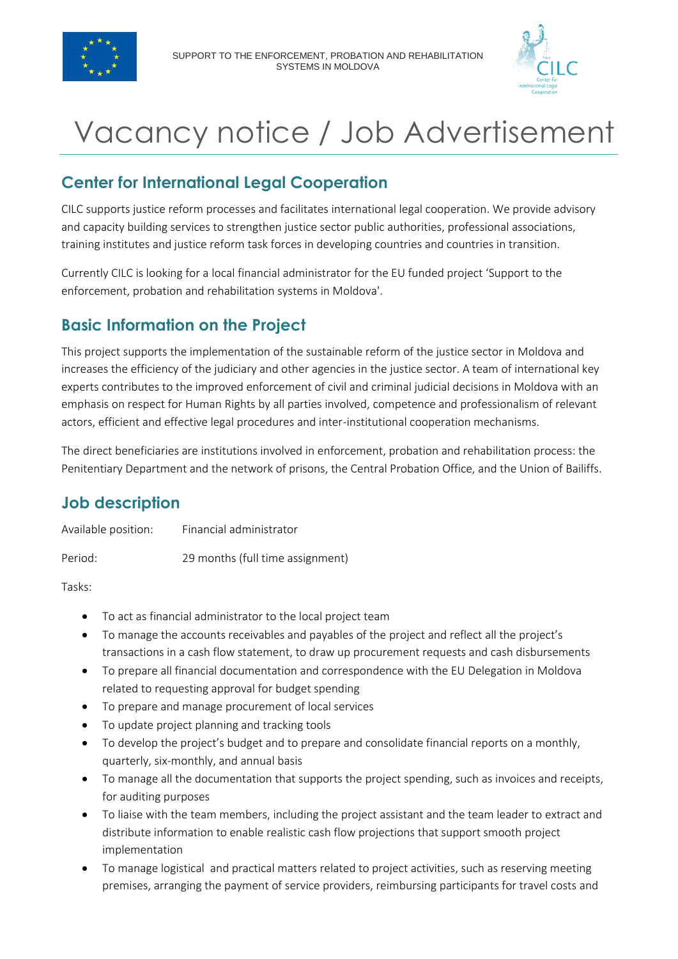



# Vacancy notice / Job Advertisement

## **Center for International Legal Cooperation**

CILC supports justice reform processes and facilitates international legal cooperation. We provide advisory and capacity building services to strengthen justice sector public authorities, professional associations, training institutes and justice reform task forces in developing countries and countries in transition.

Currently CILC is looking for a local financial administrator for the EU funded project 'Support to the enforcement, probation and rehabilitation systems in Moldova'.

### **Basic Information on the Project**

This project supports the implementation of the sustainable reform of the justice sector in Moldova and increases the efficiency of the judiciary and other agencies in the justice sector. A team of international key experts contributes to the improved enforcement of civil and criminal judicial decisions in Moldova with an emphasis on respect for Human Rights by all parties involved, competence and professionalism of relevant actors, efficient and effective legal procedures and inter-institutional cooperation mechanisms.

The direct beneficiaries are institutions involved in enforcement, probation and rehabilitation process: the Penitentiary Department and the network of prisons, the Central Probation Office, and the Union of Bailiffs.

## **Job description**

| Available position: | Financial administrator |  |
|---------------------|-------------------------|--|
|                     |                         |  |

Period: 29 months (full time assignment)

Tasks:

- To act as financial administrator to the local project team
- To manage the accounts receivables and payables of the project and reflect all the project's transactions in a cash flow statement, to draw up procurement requests and cash disbursements
- To prepare all financial documentation and correspondence with the EU Delegation in Moldova related to requesting approval for budget spending
- To prepare and manage procurement of local services
- To update project planning and tracking tools
- To develop the project's budget and to prepare and consolidate financial reports on a monthly, quarterly, six-monthly, and annual basis
- To manage all the documentation that supports the project spending, such as invoices and receipts, for auditing purposes
- To liaise with the team members, including the project assistant and the team leader to extract and distribute information to enable realistic cash flow projections that support smooth project implementation
- To manage logistical and practical matters related to project activities, such as reserving meeting premises, arranging the payment of service providers, reimbursing participants for travel costs and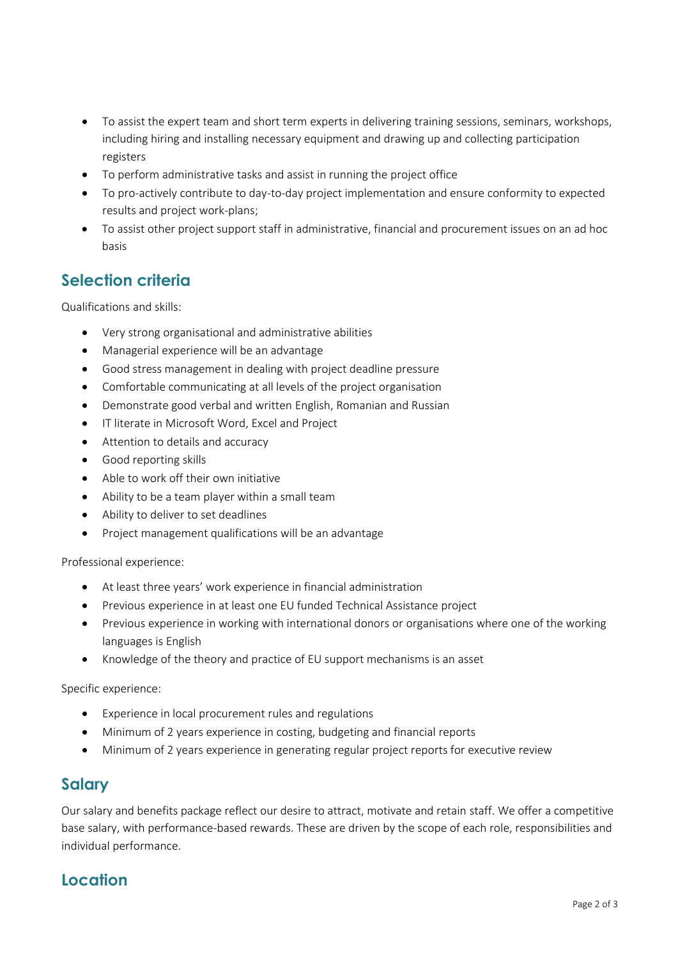- To assist the expert team and short term experts in delivering training sessions, seminars, workshops, including hiring and installing necessary equipment and drawing up and collecting participation registers
- To perform administrative tasks and assist in running the project office
- To pro-actively contribute to day-to-day project implementation and ensure conformity to expected results and project work-plans;
- To assist other project support staff in administrative, financial and procurement issues on an ad hoc basis

#### **Selection criteria**

Qualifications and skills:

- Very strong organisational and administrative abilities
- Managerial experience will be an advantage
- Good stress management in dealing with project deadline pressure
- Comfortable communicating at all levels of the project organisation
- Demonstrate good verbal and written English, Romanian and Russian
- **IF literate in Microsoft Word, Excel and Project**
- Attention to details and accuracy
- Good reporting skills
- Able to work off their own initiative
- Ability to be a team player within a small team
- Ability to deliver to set deadlines
- Project management qualifications will be an advantage

Professional experience:

- At least three years' work experience in financial administration
- Previous experience in at least one EU funded Technical Assistance project
- Previous experience in working with international donors or organisations where one of the working languages is English
- Knowledge of the theory and practice of EU support mechanisms is an asset

Specific experience:

- Experience in local procurement rules and regulations
- Minimum of 2 years experience in costing, budgeting and financial reports
- Minimum of 2 years experience in generating regular project reports for executive review

#### **Salary**

Our salary and benefits package reflect our desire to attract, motivate and retain staff. We offer a competitive base salary, with performance-based rewards. These are driven by the scope of each role, responsibilities and individual performance.

#### **Location**